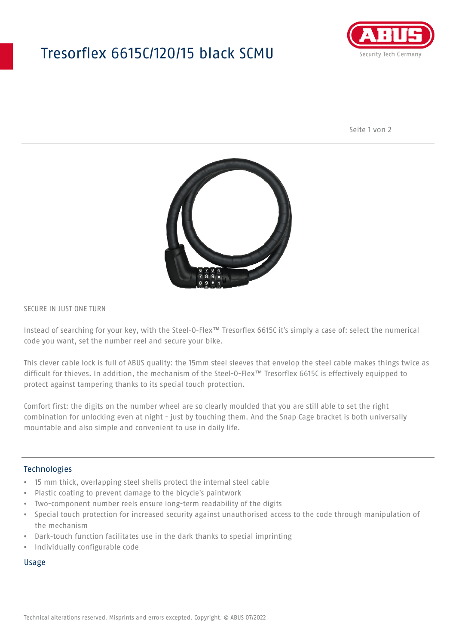## Tresorflex 6615C/120/15 black SCMU



Seite 1 von 2



### SECURE IN JUST ONE TURN

Instead of searching for your key, with the Steel-O-Flex™ Tresorflex 6615C it's simply a case of: select the numerical code you want, set the number reel and secure your bike.

This clever cable lock is full of ABUS quality: the 15mm steel sleeves that envelop the steel cable makes things twice as difficult for thieves. In addition, the mechanism of the Steel-O-Flex™ Tresorflex 6615C is effectively equipped to protect against tampering thanks to its special touch protection.

Comfort first: the digits on the number wheel are so clearly moulded that you are still able to set the right combination for unlocking even at night - just by touching them. And the Snap Cage bracket is both universally mountable and also simple and convenient to use in daily life.

## Technologies

- 15 mm thick, overlapping steel shells protect the internal steel cable
- Plastic coating to prevent damage to the bicycle's paintwork
- Two-component number reels ensure long-term readability of the digits
- Special touch protection for increased security against unauthorised access to the code through manipulation of the mechanism
- Dark-touch function facilitates use in the dark thanks to special imprinting
- Individually configurable code

#### Usage